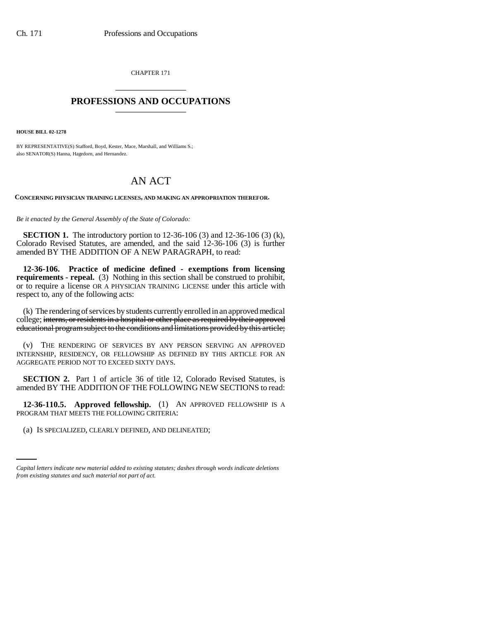CHAPTER 171 \_\_\_\_\_\_\_\_\_\_\_\_\_\_\_

## **PROFESSIONS AND OCCUPATIONS** \_\_\_\_\_\_\_\_\_\_\_\_\_\_\_

**HOUSE BILL 02-1278**

BY REPRESENTATIVE(S) Stafford, Boyd, Kester, Mace, Marshall, and Williams S.; also SENATOR(S) Hanna, Hagedorn, and Hernandez.

## AN ACT

**CONCERNING PHYSICIAN TRAINING LICENSES, AND MAKING AN APPROPRIATION THEREFOR.**

*Be it enacted by the General Assembly of the State of Colorado:*

**SECTION 1.** The introductory portion to 12-36-106 (3) and 12-36-106 (3) (k), Colorado Revised Statutes, are amended, and the said 12-36-106 (3) is further amended BY THE ADDITION OF A NEW PARAGRAPH, to read:

**12-36-106. Practice of medicine defined - exemptions from licensing requirements - repeal.** (3) Nothing in this section shall be construed to prohibit, or to require a license OR A PHYSICIAN TRAINING LICENSE under this article with respect to, any of the following acts:

(k) The rendering of services by students currently enrolled in an approved medical college; interns, or residents in a hospital or other place as required by their approved educational program subject to the conditions and limitations provided by this article;

(v) THE RENDERING OF SERVICES BY ANY PERSON SERVING AN APPROVED INTERNSHIP, RESIDENCY, OR FELLOWSHIP AS DEFINED BY THIS ARTICLE FOR AN AGGREGATE PERIOD NOT TO EXCEED SIXTY DAYS.

**SECTION 2.** Part 1 of article 36 of title 12, Colorado Revised Statutes, is amended BY THE ADDITION OF THE FOLLOWING NEW SECTIONS to read:

PROGRAM THAT MEETS THE FOLLOWING CRITERIA: **12-36-110.5. Approved fellowship.** (1) AN APPROVED FELLOWSHIP IS A

(a) IS SPECIALIZED, CLEARLY DEFINED, AND DELINEATED;

*Capital letters indicate new material added to existing statutes; dashes through words indicate deletions from existing statutes and such material not part of act.*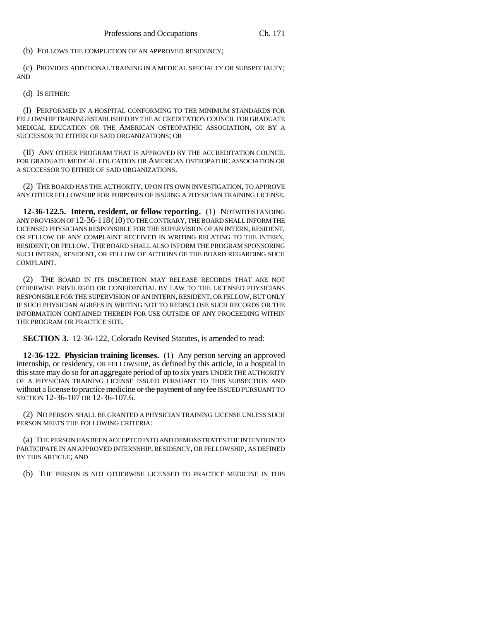(b) FOLLOWS THE COMPLETION OF AN APPROVED RESIDENCY;

(c) PROVIDES ADDITIONAL TRAINING IN A MEDICAL SPECIALTY OR SUBSPECIALTY; AND

(d) IS EITHER:

(I) PERFORMED IN A HOSPITAL CONFORMING TO THE MINIMUM STANDARDS FOR FELLOWSHIP TRAINING ESTABLISHED BY THE ACCREDITATION COUNCIL FOR GRADUATE MEDICAL EDUCATION OR THE AMERICAN OSTEOPATHIC ASSOCIATION, OR BY A SUCCESSOR TO EITHER OF SAID ORGANIZATIONS; OR

(II) ANY OTHER PROGRAM THAT IS APPROVED BY THE ACCREDITATION COUNCIL FOR GRADUATE MEDICAL EDUCATION OR AMERICAN OSTEOPATHIC ASSOCIATION OR A SUCCESSOR TO EITHER OF SAID ORGANIZATIONS.

(2) THE BOARD HAS THE AUTHORITY, UPON ITS OWN INVESTIGATION, TO APPROVE ANY OTHER FELLOWSHIP FOR PURPOSES OF ISSUING A PHYSICIAN TRAINING LICENSE.

**12-36-122.5. Intern, resident, or fellow reporting.** (1) NOTWITHSTANDING ANY PROVISION OF 12-36-118(10) TO THE CONTRARY, THE BOARD SHALL INFORM THE LICENSED PHYSICIANS RESPONSIBLE FOR THE SUPERVISION OF AN INTERN, RESIDENT, OR FELLOW OF ANY COMPLAINT RECEIVED IN WRITING RELATING TO THE INTERN, RESIDENT, OR FELLOW. THE BOARD SHALL ALSO INFORM THE PROGRAM SPONSORING SUCH INTERN, RESIDENT, OR FELLOW OF ACTIONS OF THE BOARD REGARDING SUCH COMPLAINT.

(2) THE BOARD IN ITS DISCRETION MAY RELEASE RECORDS THAT ARE NOT OTHERWISE PRIVILEGED OR CONFIDENTIAL BY LAW TO THE LICENSED PHYSICIANS RESPONSIBLE FOR THE SUPERVISION OF AN INTERN, RESIDENT, OR FELLOW, BUT ONLY IF SUCH PHYSICIAN AGREES IN WRITING NOT TO REDISCLOSE SUCH RECORDS OR THE INFORMATION CONTAINED THEREIN FOR USE OUTSIDE OF ANY PROCEEDING WITHIN THE PROGRAM OR PRACTICE SITE.

**SECTION 3.** 12-36-122, Colorado Revised Statutes, is amended to read:

**12-36-122. Physician training licenses.** (1) Any person serving an approved internship, or residency, OR FELLOWSHIP, as defined by this article, in a hospital in this state may do so for an aggregate period of up to six years UNDER THE AUTHORITY OF A PHYSICIAN TRAINING LICENSE ISSUED PURSUANT TO THIS SUBSECTION AND without a license to practice medicine or the payment of any fee ISSUED PURSUANT TO SECTION 12-36-107 OR 12-36-107.6.

(2) NO PERSON SHALL BE GRANTED A PHYSICIAN TRAINING LICENSE UNLESS SUCH PERSON MEETS THE FOLLOWING CRITERIA:

(a) THE PERSON HAS BEEN ACCEPTED INTO AND DEMONSTRATES THE INTENTION TO PARTICIPATE IN AN APPROVED INTERNSHIP, RESIDENCY, OR FELLOWSHIP, AS DEFINED BY THIS ARTICLE; AND

(b) THE PERSON IS NOT OTHERWISE LICENSED TO PRACTICE MEDICINE IN THIS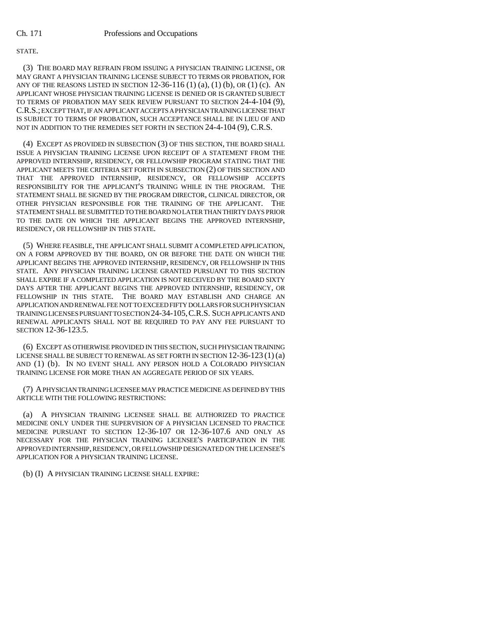## STATE.

(3) THE BOARD MAY REFRAIN FROM ISSUING A PHYSICIAN TRAINING LICENSE, OR MAY GRANT A PHYSICIAN TRAINING LICENSE SUBJECT TO TERMS OR PROBATION, FOR ANY OF THE REASONS LISTED IN SECTION  $12-36-116$  (1) (a), (1) (b), OR (1) (c). AN APPLICANT WHOSE PHYSICIAN TRAINING LICENSE IS DENIED OR IS GRANTED SUBJECT TO TERMS OF PROBATION MAY SEEK REVIEW PURSUANT TO SECTION 24-4-104 (9), C.R.S.; EXCEPT THAT, IF AN APPLICANT ACCEPTS A PHYSICIAN TRAINING LICENSE THAT IS SUBJECT TO TERMS OF PROBATION, SUCH ACCEPTANCE SHALL BE IN LIEU OF AND NOT IN ADDITION TO THE REMEDIES SET FORTH IN SECTION 24-4-104 (9), C.R.S.

(4) EXCEPT AS PROVIDED IN SUBSECTION (3) OF THIS SECTION, THE BOARD SHALL ISSUE A PHYSICIAN TRAINING LICENSE UPON RECEIPT OF A STATEMENT FROM THE APPROVED INTERNSHIP, RESIDENCY, OR FELLOWSHIP PROGRAM STATING THAT THE APPLICANT MEETS THE CRITERIA SET FORTH IN SUBSECTION (2) OF THIS SECTION AND THAT THE APPROVED INTERNSHIP, RESIDENCY, OR FELLOWSHIP ACCEPTS RESPONSIBILITY FOR THE APPLICANT'S TRAINING WHILE IN THE PROGRAM. THE STATEMENT SHALL BE SIGNED BY THE PROGRAM DIRECTOR, CLINICAL DIRECTOR, OR OTHER PHYSICIAN RESPONSIBLE FOR THE TRAINING OF THE APPLICANT. THE STATEMENT SHALL BE SUBMITTED TO THE BOARD NO LATER THAN THIRTY DAYS PRIOR TO THE DATE ON WHICH THE APPLICANT BEGINS THE APPROVED INTERNSHIP, RESIDENCY, OR FELLOWSHIP IN THIS STATE.

(5) WHERE FEASIBLE, THE APPLICANT SHALL SUBMIT A COMPLETED APPLICATION, ON A FORM APPROVED BY THE BOARD, ON OR BEFORE THE DATE ON WHICH THE APPLICANT BEGINS THE APPROVED INTERNSHIP, RESIDENCY, OR FELLOWSHIP IN THIS STATE. ANY PHYSICIAN TRAINING LICENSE GRANTED PURSUANT TO THIS SECTION SHALL EXPIRE IF A COMPLETED APPLICATION IS NOT RECEIVED BY THE BOARD SIXTY DAYS AFTER THE APPLICANT BEGINS THE APPROVED INTERNSHIP, RESIDENCY, OR FELLOWSHIP IN THIS STATE. THE BOARD MAY ESTABLISH AND CHARGE AN APPLICATION AND RENEWAL FEE NOT TO EXCEED FIFTY DOLLARS FOR SUCH PHYSICIAN TRAINING LICENSES PURSUANT TO SECTION 24-34-105,C.R.S. SUCH APPLICANTS AND RENEWAL APPLICANTS SHALL NOT BE REQUIRED TO PAY ANY FEE PURSUANT TO SECTION 12-36-123.5.

(6) EXCEPT AS OTHERWISE PROVIDED IN THIS SECTION, SUCH PHYSICIAN TRAINING LICENSE SHALL BE SUBJECT TO RENEWAL AS SET FORTH IN SECTION 12-36-123 (1) (a) AND (1) (b). IN NO EVENT SHALL ANY PERSON HOLD A COLORADO PHYSICIAN TRAINING LICENSE FOR MORE THAN AN AGGREGATE PERIOD OF SIX YEARS.

(7) A PHYSICIAN TRAINING LICENSEE MAY PRACTICE MEDICINE AS DEFINED BY THIS ARTICLE WITH THE FOLLOWING RESTRICTIONS:

(a) A PHYSICIAN TRAINING LICENSEE SHALL BE AUTHORIZED TO PRACTICE MEDICINE ONLY UNDER THE SUPERVISION OF A PHYSICIAN LICENSED TO PRACTICE MEDICINE PURSUANT TO SECTION 12-36-107 OR 12-36-107.6 AND ONLY AS NECESSARY FOR THE PHYSICIAN TRAINING LICENSEE'S PARTICIPATION IN THE APPROVED INTERNSHIP, RESIDENCY, OR FELLOWSHIP DESIGNATED ON THE LICENSEE'S APPLICATION FOR A PHYSICIAN TRAINING LICENSE.

(b) (I) A PHYSICIAN TRAINING LICENSE SHALL EXPIRE: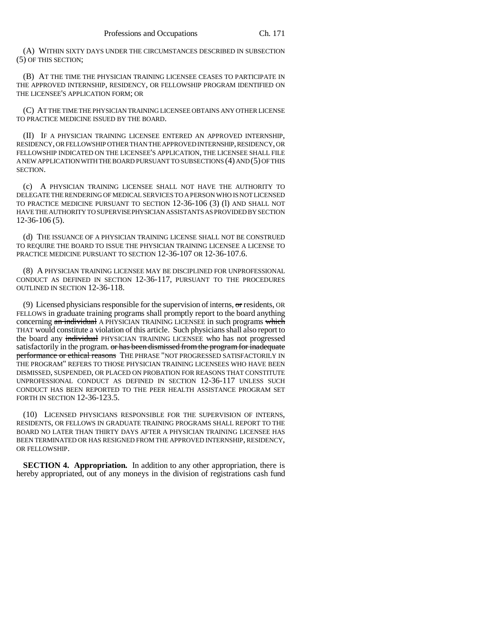(A) WITHIN SIXTY DAYS UNDER THE CIRCUMSTANCES DESCRIBED IN SUBSECTION (5) OF THIS SECTION;

(B) AT THE TIME THE PHYSICIAN TRAINING LICENSEE CEASES TO PARTICIPATE IN THE APPROVED INTERNSHIP, RESIDENCY, OR FELLOWSHIP PROGRAM IDENTIFIED ON THE LICENSEE'S APPLICATION FORM; OR

(C) AT THE TIME THE PHYSICIAN TRAINING LICENSEE OBTAINS ANY OTHER LICENSE TO PRACTICE MEDICINE ISSUED BY THE BOARD.

(II) IF A PHYSICIAN TRAINING LICENSEE ENTERED AN APPROVED INTERNSHIP, RESIDENCY, OR FELLOWSHIP OTHER THAN THE APPROVED INTERNSHIP, RESIDENCY, OR FELLOWSHIP INDICATED ON THE LICENSEE'S APPLICATION, THE LICENSEE SHALL FILE A NEW APPLICATION WITH THE BOARD PURSUANT TO SUBSECTIONS (4) AND (5) OF THIS SECTION.

(c) A PHYSICIAN TRAINING LICENSEE SHALL NOT HAVE THE AUTHORITY TO DELEGATE THE RENDERING OF MEDICAL SERVICES TO A PERSON WHO IS NOT LICENSED TO PRACTICE MEDICINE PURSUANT TO SECTION 12-36-106 (3) (l) AND SHALL NOT HAVE THE AUTHORITY TO SUPERVISE PHYSICIAN ASSISTANTS AS PROVIDED BY SECTION 12-36-106 (5).

(d) THE ISSUANCE OF A PHYSICIAN TRAINING LICENSE SHALL NOT BE CONSTRUED TO REQUIRE THE BOARD TO ISSUE THE PHYSICIAN TRAINING LICENSEE A LICENSE TO PRACTICE MEDICINE PURSUANT TO SECTION 12-36-107 OR 12-36-107.6.

(8) A PHYSICIAN TRAINING LICENSEE MAY BE DISCIPLINED FOR UNPROFESSIONAL CONDUCT AS DEFINED IN SECTION 12-36-117, PURSUANT TO THE PROCEDURES OUTLINED IN SECTION 12-36-118.

(9) Licensed physicians responsible for the supervision of interns,  $\sigma$ r residents, OR FELLOWS in graduate training programs shall promptly report to the board anything concerning an individual A PHYSICIAN TRAINING LICENSEE in such programs which THAT would constitute a violation of this article. Such physicians shall also report to the board any individual PHYSICIAN TRAINING LICENSEE who has not progressed satisfactorily in the program. or has been dismissed from the program for inadequate performance or ethical reasons THE PHRASE "NOT PROGRESSED SATISFACTORILY IN THE PROGRAM" REFERS TO THOSE PHYSICIAN TRAINING LICENSEES WHO HAVE BEEN DISMISSED, SUSPENDED, OR PLACED ON PROBATION FOR REASONS THAT CONSTITUTE UNPROFESSIONAL CONDUCT AS DEFINED IN SECTION 12-36-117 UNLESS SUCH CONDUCT HAS BEEN REPORTED TO THE PEER HEALTH ASSISTANCE PROGRAM SET FORTH IN SECTION 12-36-123.5.

(10) LICENSED PHYSICIANS RESPONSIBLE FOR THE SUPERVISION OF INTERNS, RESIDENTS, OR FELLOWS IN GRADUATE TRAINING PROGRAMS SHALL REPORT TO THE BOARD NO LATER THAN THIRTY DAYS AFTER A PHYSICIAN TRAINING LICENSEE HAS BEEN TERMINATED OR HAS RESIGNED FROM THE APPROVED INTERNSHIP, RESIDENCY, OR FELLOWSHIP.

**SECTION 4. Appropriation.** In addition to any other appropriation, there is hereby appropriated, out of any moneys in the division of registrations cash fund